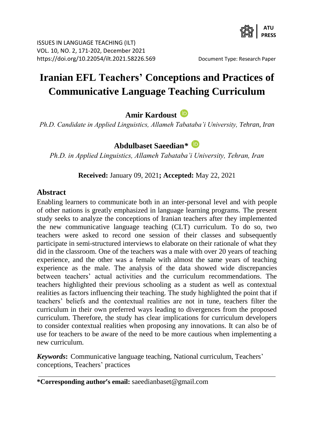

# **Iranian EFL Teachers' Conceptions and Practices of Communicative Language Teaching Curriculum**

## **Amir Kardoust**

*Ph.D. Candidate in Applied Linguistics, Allameh Tabataba'i University, Tehran, Iran*

## **Abdulbaset Saeedian***\**

*Ph.D. in Applied Linguistics, Allameh Tabataba'i University, Tehran, Iran*

**Received:** January 09, 2021**; Accepted:** May 22, 2021

#### **Abstract**

Enabling learners to communicate both in an inter-personal level and with people of other nations is greatly emphasized in language learning programs. The present study seeks to analyze the conceptions of Iranian teachers after they implemented the new communicative language teaching (CLT) curriculum. To do so, two teachers were asked to record one session of their classes and subsequently participate in semi-structured interviews to elaborate on their rationale of what they did in the classroom. One of the teachers was a male with over 20 years of teaching experience, and the other was a female with almost the same years of teaching experience as the male. The analysis of the data showed wide discrepancies between teachers' actual activities and the curriculum recommendations. The teachers highlighted their previous schooling as a student as well as contextual realities as factors influencing their teaching. The study highlighted the point that if teachers' beliefs and the contextual realities are not in tune, teachers filter the curriculum in their own preferred ways leading to divergences from the proposed curriculum. Therefore, the study has clear implications for curriculum developers to consider contextual realities when proposing any innovations. It can also be of use for teachers to be aware of the need to be more cautious when implementing a new curriculum.

*Keywords***:** Communicative language teaching, National curriculum, Teachers' conceptions, Teachers' practices

**<sup>\*</sup>Corresponding author's email:** [saeedianbaset@gmail.com](mailto:saeedianbaset@gmail.com)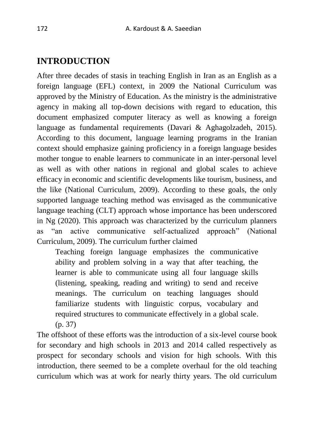## **INTRODUCTION**

After three decades of stasis in teaching English in Iran as an English as a foreign language (EFL) context, in 2009 the National Curriculum was approved by the Ministry of Education. As the ministry is the administrative agency in making all top-down decisions with regard to education, this document emphasized computer literacy as well as knowing a foreign language as fundamental requirements (Davari & Aghagolzadeh, 2015). According to this document, language learning programs in the Iranian context should emphasize gaining proficiency in a foreign language besides mother tongue to enable learners to communicate in an inter-personal level as well as with other nations in regional and global scales to achieve efficacy in economic and scientific developments like tourism, business, and the like (National Curriculum, 2009). According to these goals, the only supported language teaching method was envisaged as the communicative language teaching (CLT) approach whose importance has been underscored in Ng (2020). This approach was characterized by the curriculum planners as "an active communicative self-actualized approach" (National Curriculum, 2009). The curriculum further claimed

Teaching foreign language emphasizes the communicative ability and problem solving in a way that after teaching, the learner is able to communicate using all four language skills (listening, speaking, reading and writing) to send and receive meanings. The curriculum on teaching languages should familiarize students with linguistic corpus, vocabulary and required structures to communicate effectively in a global scale. (p. 37)

The offshoot of these efforts was the introduction of a six-level course book for secondary and high schools in 2013 and 2014 called respectively as prospect for secondary schools and vision for high schools. With this introduction, there seemed to be a complete overhaul for the old teaching curriculum which was at work for nearly thirty years. The old curriculum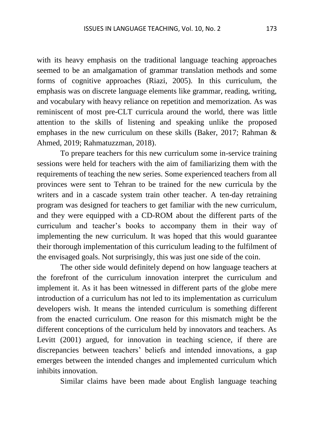with its heavy emphasis on the traditional language teaching approaches seemed to be an amalgamation of grammar translation methods and some forms of cognitive approaches (Riazi, 2005). In this curriculum, the emphasis was on discrete language elements like grammar, reading, writing, and vocabulary with heavy reliance on repetition and memorization. As was reminiscent of most pre-CLT curricula around the world, there was little attention to the skills of listening and speaking unlike the proposed emphases in the new curriculum on these skills (Baker, 2017; Rahman & Ahmed, 2019; Rahmatuzzman, 2018).

To prepare teachers for this new curriculum some in-service training sessions were held for teachers with the aim of familiarizing them with the requirements of teaching the new series. Some experienced teachers from all provinces were sent to Tehran to be trained for the new curricula by the writers and in a cascade system train other teacher. A ten-day retraining program was designed for teachers to get familiar with the new curriculum, and they were equipped with a CD-ROM about the different parts of the curriculum and teacher's books to accompany them in their way of implementing the new curriculum. It was hoped that this would guarantee their thorough implementation of this curriculum leading to the fulfilment of the envisaged goals. Not surprisingly, this was just one side of the coin.

The other side would definitely depend on how language teachers at the forefront of the curriculum innovation interpret the curriculum and implement it. As it has been witnessed in different parts of the globe mere introduction of a curriculum has not led to its implementation as curriculum developers wish. It means the intended curriculum is something different from the enacted curriculum. One reason for this mismatch might be the different conceptions of the curriculum held by innovators and teachers. As Levitt (2001) argued, for innovation in teaching science, if there are discrepancies between teachers' beliefs and intended innovations, a gap emerges between the intended changes and implemented curriculum which inhibits innovation.

Similar claims have been made about English language teaching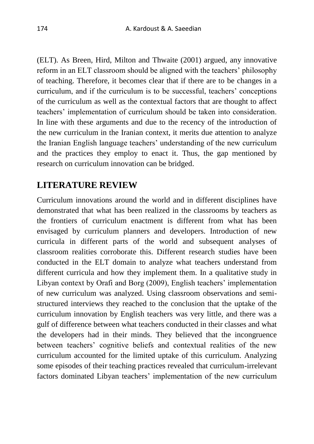(ELT). As Breen, Hird, Milton and Thwaite (2001) argued, any innovative reform in an ELT classroom should be aligned with the teachers' philosophy of teaching. Therefore, it becomes clear that if there are to be changes in a curriculum, and if the curriculum is to be successful, teachers' conceptions of the curriculum as well as the contextual factors that are thought to affect teachers' implementation of curriculum should be taken into consideration. In line with these arguments and due to the recency of the introduction of the new curriculum in the Iranian context, it merits due attention to analyze the Iranian English language teachers' understanding of the new curriculum and the practices they employ to enact it. Thus, the gap mentioned by research on curriculum innovation can be bridged.

## **LITERATURE REVIEW**

Curriculum innovations around the world and in different disciplines have demonstrated that what has been realized in the classrooms by teachers as the frontiers of curriculum enactment is different from what has been envisaged by curriculum planners and developers. Introduction of new curricula in different parts of the world and subsequent analyses of classroom realities corroborate this. Different research studies have been conducted in the ELT domain to analyze what teachers understand from different curricula and how they implement them. In a qualitative study in Libyan context by Orafi and Borg (2009), English teachers' implementation of new curriculum was analyzed. Using classroom observations and semistructured interviews they reached to the conclusion that the uptake of the curriculum innovation by English teachers was very little, and there was a gulf of difference between what teachers conducted in their classes and what the developers had in their minds. They believed that the incongruence between teachers' cognitive beliefs and contextual realities of the new curriculum accounted for the limited uptake of this curriculum. Analyzing some episodes of their teaching practices revealed that curriculum-irrelevant factors dominated Libyan teachers' implementation of the new curriculum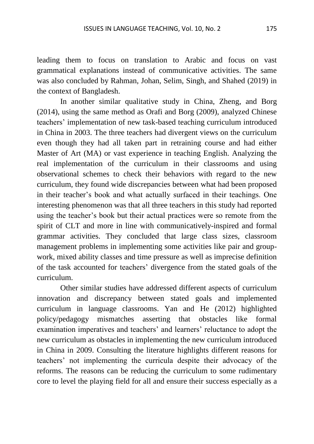leading them to focus on translation to Arabic and focus on vast grammatical explanations instead of communicative activities. The same was also concluded by Rahman, Johan, Selim, Singh, and Shahed (2019) in the context of Bangladesh.

In another similar qualitative study in China, Zheng, and Borg (2014), using the same method as Orafi and Borg (2009), analyzed Chinese teachers' implementation of new task-based teaching curriculum introduced in China in 2003. The three teachers had divergent views on the curriculum even though they had all taken part in retraining course and had either Master of Art (MA) or vast experience in teaching English. Analyzing the real implementation of the curriculum in their classrooms and using observational schemes to check their behaviors with regard to the new curriculum, they found wide discrepancies between what had been proposed in their teacher's book and what actually surfaced in their teachings. One interesting phenomenon was that all three teachers in this study had reported using the teacher's book but their actual practices were so remote from the spirit of CLT and more in line with communicatively-inspired and formal grammar activities. They concluded that large class sizes, classroom management problems in implementing some activities like pair and groupwork, mixed ability classes and time pressure as well as imprecise definition of the task accounted for teachers' divergence from the stated goals of the curriculum.

Other similar studies have addressed different aspects of curriculum innovation and discrepancy between stated goals and implemented curriculum in language classrooms. Yan and He (2012) highlighted policy/pedagogy mismatches asserting that obstacles like formal examination imperatives and teachers' and learners' reluctance to adopt the new curriculum as obstacles in implementing the new curriculum introduced in China in 2009. Consulting the literature highlights different reasons for teachers' not implementing the curricula despite their advocacy of the reforms. The reasons can be reducing the curriculum to some rudimentary core to level the playing field for all and ensure their success especially as a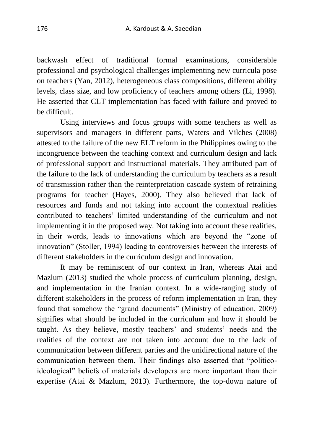backwash effect of traditional formal examinations, considerable professional and psychological challenges implementing new curricula pose on teachers (Yan, 2012), heterogeneous class compositions, different ability levels, class size, and low proficiency of teachers among others (Li, 1998). He asserted that CLT implementation has faced with failure and proved to be difficult.

Using interviews and focus groups with some teachers as well as supervisors and managers in different parts, Waters and Vilches (2008) attested to the failure of the new ELT reform in the Philippines owing to the incongruence between the teaching context and curriculum design and lack of professional support and instructional materials. They attributed part of the failure to the lack of understanding the curriculum by teachers as a result of transmission rather than the reinterpretation cascade system of retraining programs for teacher (Hayes, 2000). They also believed that lack of resources and funds and not taking into account the contextual realities contributed to teachers' limited understanding of the curriculum and not implementing it in the proposed way. Not taking into account these realities, in their words, leads to innovations which are beyond the "zone of innovation" (Stoller, 1994) leading to controversies between the interests of different stakeholders in the curriculum design and innovation.

It may be reminiscent of our context in Iran, whereas Atai and Mazlum (2013) studied the whole process of curriculum planning, design, and implementation in the Iranian context. In a wide-ranging study of different stakeholders in the process of reform implementation in Iran, they found that somehow the "grand documents" (Ministry of education, 2009) signifies what should be included in the curriculum and how it should be taught. As they believe, mostly teachers' and students' needs and the realities of the context are not taken into account due to the lack of communication between different parties and the unidirectional nature of the communication between them. Their findings also asserted that "politicoideological" beliefs of materials developers are more important than their expertise (Atai & Mazlum, 2013). Furthermore, the top-down nature of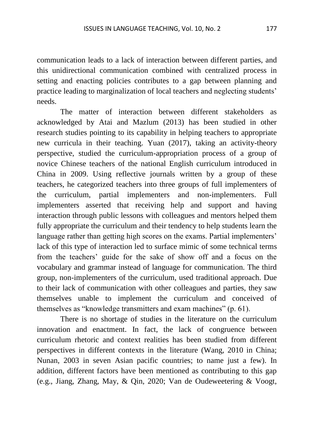communication leads to a lack of interaction between different parties, and this unidirectional communication combined with centralized process in setting and enacting policies contributes to a gap between planning and practice leading to marginalization of local teachers and neglecting students' needs.

The matter of interaction between different stakeholders as acknowledged by Atai and Mazlum (2013) has been studied in other research studies pointing to its capability in helping teachers to appropriate new curricula in their teaching. Yuan (2017), taking an activity-theory perspective, studied the curriculum-appropriation process of a group of novice Chinese teachers of the national English curriculum introduced in China in 2009. Using reflective journals written by a group of these teachers, he categorized teachers into three groups of full implementers of the curriculum, partial implementers and non-implementers. Full implementers asserted that receiving help and support and having interaction through public lessons with colleagues and mentors helped them fully appropriate the curriculum and their tendency to help students learn the language rather than getting high scores on the exams. Partial implementers' lack of this type of interaction led to surface mimic of some technical terms from the teachers' guide for the sake of show off and a focus on the vocabulary and grammar instead of language for communication. The third group, non-implementers of the curriculum, used traditional approach. Due to their lack of communication with other colleagues and parties, they saw themselves unable to implement the curriculum and conceived of themselves as "knowledge transmitters and exam machines" (p. 61).

There is no shortage of studies in the literature on the curriculum innovation and enactment. In fact, the lack of congruence between curriculum rhetoric and context realities has been studied from different perspectives in different contexts in the literature (Wang, 2010 in China; Nunan, 2003 in seven Asian pacific countries; to name just a few). In addition, different factors have been mentioned as contributing to this gap (e.g., Jiang, Zhang, May, & Qin, 2020; Van de Oudeweetering & Voogt,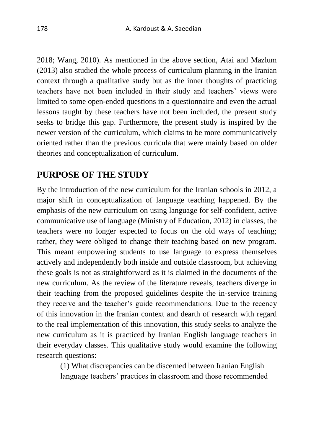2018; Wang, 2010). As mentioned in the above section, Atai and Mazlum (2013) also studied the whole process of curriculum planning in the Iranian context through a qualitative study but as the inner thoughts of practicing teachers have not been included in their study and teachers' views were limited to some open-ended questions in a questionnaire and even the actual lessons taught by these teachers have not been included, the present study seeks to bridge this gap. Furthermore, the present study is inspired by the newer version of the curriculum, which claims to be more communicatively oriented rather than the previous curricula that were mainly based on older theories and conceptualization of curriculum.

## **PURPOSE OF THE STUDY**

By the introduction of the new curriculum for the Iranian schools in 2012, a major shift in conceptualization of language teaching happened. By the emphasis of the new curriculum on using language for self-confident, active communicative use of language (Ministry of Education, 2012) in classes, the teachers were no longer expected to focus on the old ways of teaching; rather, they were obliged to change their teaching based on new program. This meant empowering students to use language to express themselves actively and independently both inside and outside classroom, but achieving these goals is not as straightforward as it is claimed in the documents of the new curriculum. As the review of the literature reveals, teachers diverge in their teaching from the proposed guidelines despite the in-service training they receive and the teacher's guide recommendations. Due to the recency of this innovation in the Iranian context and dearth of research with regard to the real implementation of this innovation, this study seeks to analyze the new curriculum as it is practiced by Iranian English language teachers in their everyday classes. This qualitative study would examine the following research questions:

(1) What discrepancies can be discerned between Iranian English language teachers' practices in classroom and those recommended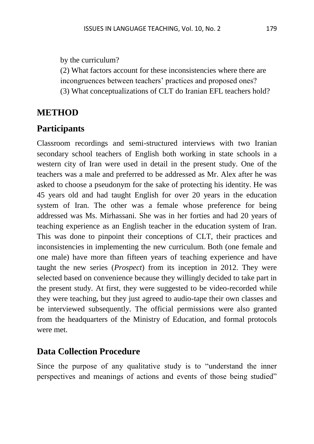by the curriculum?

(2) What factors account for these inconsistencies where there are

incongruences between teachers' practices and proposed ones?

(3) What conceptualizations of CLT do Iranian EFL teachers hold?

# **METHOD**

# **Participants**

Classroom recordings and semi-structured interviews with two Iranian secondary school teachers of English both working in state schools in a western city of Iran were used in detail in the present study. One of the teachers was a male and preferred to be addressed as Mr. Alex after he was asked to choose a pseudonym for the sake of protecting his identity. He was 45 years old and had taught English for over 20 years in the education system of Iran. The other was a female whose preference for being addressed was Ms. Mirhassani. She was in her forties and had 20 years of teaching experience as an English teacher in the education system of Iran. This was done to pinpoint their conceptions of CLT, their practices and inconsistencies in implementing the new curriculum. Both (one female and one male) have more than fifteen years of teaching experience and have taught the new series (*Prospect*) from its inception in 2012. They were selected based on convenience because they willingly decided to take part in the present study. At first, they were suggested to be video-recorded while they were teaching, but they just agreed to audio-tape their own classes and be interviewed subsequently. The official permissions were also granted from the headquarters of the Ministry of Education, and formal protocols were met.

## **Data Collection Procedure**

Since the purpose of any qualitative study is to "understand the inner perspectives and meanings of actions and events of those being studied"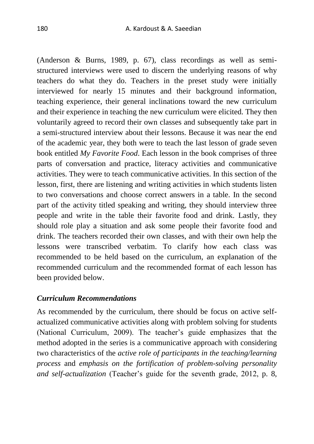(Anderson & Burns, 1989, p. 67), class recordings as well as semistructured interviews were used to discern the underlying reasons of why teachers do what they do. Teachers in the preset study were initially interviewed for nearly 15 minutes and their background information, teaching experience, their general inclinations toward the new curriculum and their experience in teaching the new curriculum were elicited. They then voluntarily agreed to record their own classes and subsequently take part in a semi-structured interview about their lessons. Because it was near the end of the academic year, they both were to teach the last lesson of grade seven book entitled *My Favorite Food*. Each lesson in the book comprises of three parts of conversation and practice, literacy activities and communicative activities. They were to teach communicative activities. In this section of the lesson, first, there are listening and writing activities in which students listen to two conversations and choose correct answers in a table. In the second part of the activity titled speaking and writing, they should interview three people and write in the table their favorite food and drink. Lastly, they should role play a situation and ask some people their favorite food and drink. The teachers recorded their own classes, and with their own help the lessons were transcribed verbatim. To clarify how each class was recommended to be held based on the curriculum, an explanation of the recommended curriculum and the recommended format of each lesson has been provided below.

#### *Curriculum Recommendations*

As recommended by the curriculum, there should be focus on active selfactualized communicative activities along with problem solving for students (National Curriculum, 2009). The teacher's guide emphasizes that the method adopted in the series is a communicative approach with considering two characteristics of the *active role of participants in the teaching/learning process* and *emphasis on the fortification of problem-solving personality and self-actualization* (Teacher's guide for the seventh grade, 2012, p. 8,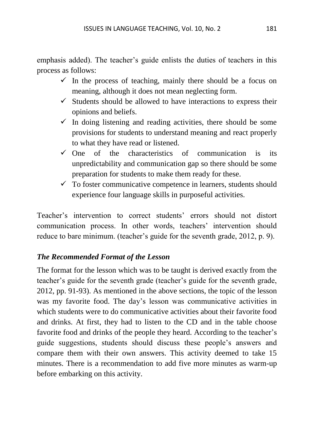emphasis added). The teacher's guide enlists the duties of teachers in this process as follows:

- $\checkmark$  In the process of teaching, mainly there should be a focus on meaning, although it does not mean neglecting form.
- $\checkmark$  Students should be allowed to have interactions to express their opinions and beliefs.
- $\checkmark$  In doing listening and reading activities, there should be some provisions for students to understand meaning and react properly to what they have read or listened.
- $\checkmark$  One of the characteristics of communication is its unpredictability and communication gap so there should be some preparation for students to make them ready for these.
- $\checkmark$  To foster communicative competence in learners, students should experience four language skills in purposeful activities.

Teacher's intervention to correct students' errors should not distort communication process. In other words, teachers' intervention should reduce to bare minimum. (teacher's guide for the seventh grade, 2012, p. 9).

#### *The Recommended Format of the Lesson*

The format for the lesson which was to be taught is derived exactly from the teacher's guide for the seventh grade (teacher's guide for the seventh grade, 2012, pp. 91-93). As mentioned in the above sections, the topic of the lesson was my favorite food. The day's lesson was communicative activities in which students were to do communicative activities about their favorite food and drinks. At first, they had to listen to the CD and in the table choose favorite food and drinks of the people they heard. According to the teacher's guide suggestions, students should discuss these people's answers and compare them with their own answers. This activity deemed to take 15 minutes. There is a recommendation to add five more minutes as warm-up before embarking on this activity.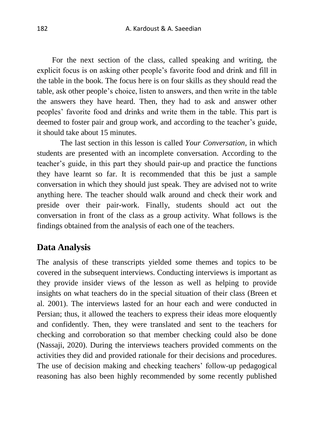For the next section of the class, called speaking and writing, the explicit focus is on asking other people's favorite food and drink and fill in the table in the book. The focus here is on four skills as they should read the table, ask other people's choice, listen to answers, and then write in the table the answers they have heard. Then, they had to ask and answer other peoples' favorite food and drinks and write them in the table. This part is deemed to foster pair and group work, and according to the teacher's guide, it should take about 15 minutes.

The last section in this lesson is called *Your Conversation*, in which students are presented with an incomplete conversation. According to the teacher's guide, in this part they should pair-up and practice the functions they have learnt so far. It is recommended that this be just a sample conversation in which they should just speak. They are advised not to write anything here. The teacher should walk around and check their work and preside over their pair-work. Finally, students should act out the conversation in front of the class as a group activity. What follows is the findings obtained from the analysis of each one of the teachers.

#### **Data Analysis**

The analysis of these transcripts yielded some themes and topics to be covered in the subsequent interviews. Conducting interviews is important as they provide insider views of the lesson as well as helping to provide insights on what teachers do in the special situation of their class (Breen et al. 2001). The interviews lasted for an hour each and were conducted in Persian; thus, it allowed the teachers to express their ideas more eloquently and confidently. Then, they were translated and sent to the teachers for checking and corroboration so that member checking could also be done (Nassaji, 2020). During the interviews teachers provided comments on the activities they did and provided rationale for their decisions and procedures. The use of decision making and checking teachers' follow-up pedagogical reasoning has also been highly recommended by some recently published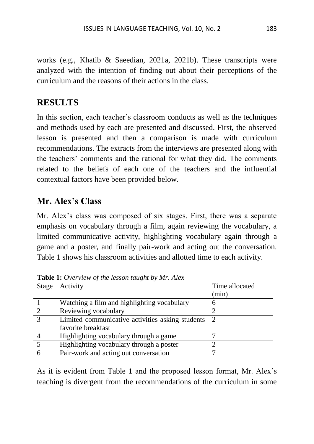works (e.g., Khatib & Saeedian, 2021a, 2021b). These transcripts were analyzed with the intention of finding out about their perceptions of the curriculum and the reasons of their actions in the class.

## **RESULTS**

In this section, each teacher's classroom conducts as well as the techniques and methods used by each are presented and discussed. First, the observed lesson is presented and then a comparison is made with curriculum recommendations. The extracts from the interviews are presented along with the teachers' comments and the rational for what they did. The comments related to the beliefs of each one of the teachers and the influential contextual factors have been provided below.

# **Mr. Alex's Class**

Mr. Alex's class was composed of six stages. First, there was a separate emphasis on vocabulary through a film, again reviewing the vocabulary, a limited communicative activity, highlighting vocabulary again through a game and a poster, and finally pair-work and acting out the conversation. Table 1 shows his classroom activities and allotted time to each activity.

| Stage                  | Activity                                         | Time allocated |
|------------------------|--------------------------------------------------|----------------|
|                        |                                                  | (min)          |
|                        | Watching a film and highlighting vocabulary      |                |
| $\mathcal{D}$          | Reviewing vocabulary                             |                |
| $\mathbf{\mathcal{R}}$ | Limited communicative activities asking students | - 2            |
|                        | favorite breakfast                               |                |
|                        | Highlighting vocabulary through a game           |                |
|                        | Highlighting vocabulary through a poster         |                |
|                        | Pair-work and acting out conversation            |                |

**Table 1:** *Overview of the lesson taught by Mr. Alex*

As it is evident from Table 1 and the proposed lesson format, Mr. Alex's teaching is divergent from the recommendations of the curriculum in some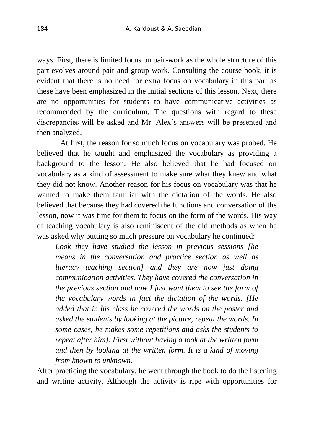ways. First, there is limited focus on pair-work as the whole structure of this part evolves around pair and group work. Consulting the course book, it is evident that there is no need for extra focus on vocabulary in this part as these have been emphasized in the initial sections of this lesson. Next, there are no opportunities for students to have communicative activities as recommended by the curriculum. The questions with regard to these discrepancies will be asked and Mr. Alex's answers will be presented and then analyzed.

At first, the reason for so much focus on vocabulary was probed. He believed that he taught and emphasized the vocabulary as providing a background to the lesson. He also believed that he had focused on vocabulary as a kind of assessment to make sure what they knew and what they did not know. Another reason for his focus on vocabulary was that he wanted to make them familiar with the dictation of the words. He also believed that because they had covered the functions and conversation of the lesson, now it was time for them to focus on the form of the words. His way of teaching vocabulary is also reminiscent of the old methods as when he was asked why putting so much pressure on vocabulary he continued:

*Look they have studied the lesson in previous sessions [he means in the conversation and practice section as well as literacy teaching section] and they are now just doing communication activities. They have covered the conversation in the previous section and now I just want them to see the form of the vocabulary words in fact the dictation of the words. [He added that in his class he covered the words on the poster and asked the students by looking at the picture, repeat the words. In some cases, he makes some repetitions and asks the students to repeat after him]. First without having a look at the written form and then by looking at the written form. It is a kind of moving from known to unknown.*

After practicing the vocabulary, he went through the book to do the listening and writing activity. Although the activity is ripe with opportunities for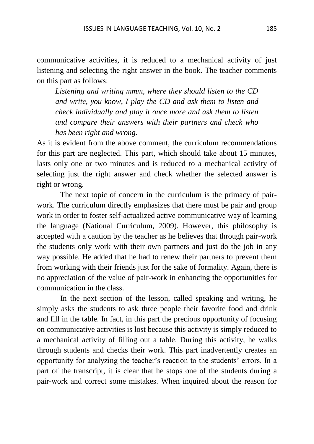communicative activities, it is reduced to a mechanical activity of just listening and selecting the right answer in the book. The teacher comments on this part as follows:

*Listening and writing mmm, where they should listen to the CD and write, you know, I play the CD and ask them to listen and check individually and play it once more and ask them to listen and compare their answers with their partners and check who has been right and wrong.*

As it is evident from the above comment, the curriculum recommendations for this part are neglected. This part, which should take about 15 minutes, lasts only one or two minutes and is reduced to a mechanical activity of selecting just the right answer and check whether the selected answer is right or wrong.

The next topic of concern in the curriculum is the primacy of pairwork. The curriculum directly emphasizes that there must be pair and group work in order to foster self-actualized active communicative way of learning the language (National Curriculum, 2009). However, this philosophy is accepted with a caution by the teacher as he believes that through pair-work the students only work with their own partners and just do the job in any way possible. He added that he had to renew their partners to prevent them from working with their friends just for the sake of formality. Again, there is no appreciation of the value of pair-work in enhancing the opportunities for communication in the class.

In the next section of the lesson, called speaking and writing, he simply asks the students to ask three people their favorite food and drink and fill in the table. In fact, in this part the precious opportunity of focusing on communicative activities is lost because this activity is simply reduced to a mechanical activity of filling out a table. During this activity, he walks through students and checks their work. This part inadvertently creates an opportunity for analyzing the teacher's reaction to the students' errors. In a part of the transcript, it is clear that he stops one of the students during a pair-work and correct some mistakes. When inquired about the reason for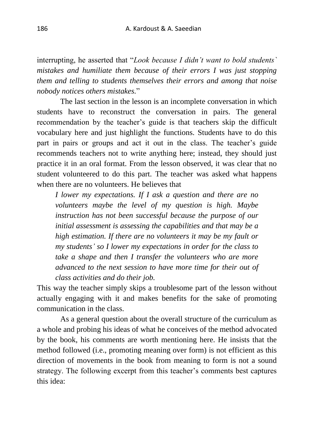interrupting, he asserted that "*Look because I didn't want to bold students` mistakes and humiliate them because of their errors I was just stopping them and telling to students themselves their errors and among that noise nobody notices others mistakes.*"

The last section in the lesson is an incomplete conversation in which students have to reconstruct the conversation in pairs. The general recommendation by the teacher's guide is that teachers skip the difficult vocabulary here and just highlight the functions. Students have to do this part in pairs or groups and act it out in the class. The teacher's guide recommends teachers not to write anything here; instead, they should just practice it in an oral format. From the lesson observed, it was clear that no student volunteered to do this part. The teacher was asked what happens when there are no volunteers. He believes that

*I lower my expectations. If I ask a question and there are no volunteers maybe the level of my question is high. Maybe instruction has not been successful because the purpose of our initial assessment is assessing the capabilities and that may be a high estimation. If there are no volunteers it may be my fault or my students' so I lower my expectations in order for the class to take a shape and then I transfer the volunteers who are more advanced to the next session to have more time for their out of class activities and do their job.*

This way the teacher simply skips a troublesome part of the lesson without actually engaging with it and makes benefits for the sake of promoting communication in the class.

As a general question about the overall structure of the curriculum as a whole and probing his ideas of what he conceives of the method advocated by the book, his comments are worth mentioning here. He insists that the method followed (i.e., promoting meaning over form) is not efficient as this direction of movements in the book from meaning to form is not a sound strategy. The following excerpt from this teacher's comments best captures this idea: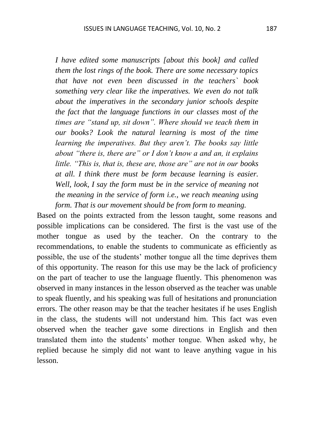*I have edited some manuscripts [about this book] and called them the lost rings of the book. There are some necessary topics that have not even been discussed in the teachers` book something very clear like the imperatives. We even do not talk about the imperatives in the secondary junior schools despite the fact that the language functions in our classes most of the times are "stand up, sit down". Where should we teach them in our books? Look the natural learning is most of the time learning the imperatives. But they aren't. The books say little about "there is, there are" or I don't know a and an, it explains little. "This is, that is, these are, those are" are not in our books at all. I think there must be form because learning is easier. Well, look, I say the form must be in the service of meaning not the meaning in the service of form i.e., we reach meaning using form. That is our movement should be from form to meaning.*

Based on the points extracted from the lesson taught, some reasons and possible implications can be considered. The first is the vast use of the mother tongue as used by the teacher. On the contrary to the recommendations, to enable the students to communicate as efficiently as possible, the use of the students' mother tongue all the time deprives them of this opportunity. The reason for this use may be the lack of proficiency on the part of teacher to use the language fluently. This phenomenon was observed in many instances in the lesson observed as the teacher was unable to speak fluently, and his speaking was full of hesitations and pronunciation errors. The other reason may be that the teacher hesitates if he uses English in the class, the students will not understand him. This fact was even observed when the teacher gave some directions in English and then translated them into the students' mother tongue. When asked why, he replied because he simply did not want to leave anything vague in his lesson.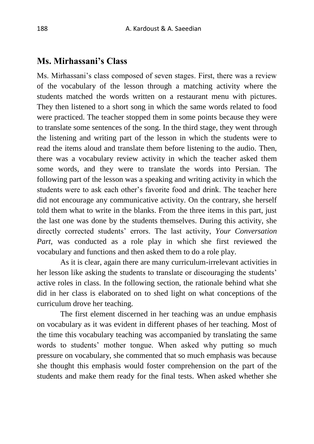#### **Ms. Mirhassani's Class**

Ms. Mirhassani's class composed of seven stages. First, there was a review of the vocabulary of the lesson through a matching activity where the students matched the words written on a restaurant menu with pictures. They then listened to a short song in which the same words related to food were practiced. The teacher stopped them in some points because they were to translate some sentences of the song. In the third stage, they went through the listening and writing part of the lesson in which the students were to read the items aloud and translate them before listening to the audio. Then, there was a vocabulary review activity in which the teacher asked them some words, and they were to translate the words into Persian. The following part of the lesson was a speaking and writing activity in which the students were to ask each other's favorite food and drink. The teacher here did not encourage any communicative activity. On the contrary, she herself told them what to write in the blanks. From the three items in this part, just the last one was done by the students themselves. During this activity, she directly corrected students' errors. The last activity, *Your Conversation Part*, was conducted as a role play in which she first reviewed the vocabulary and functions and then asked them to do a role play.

As it is clear, again there are many curriculum-irrelevant activities in her lesson like asking the students to translate or discouraging the students' active roles in class. In the following section, the rationale behind what she did in her class is elaborated on to shed light on what conceptions of the curriculum drove her teaching.

The first element discerned in her teaching was an undue emphasis on vocabulary as it was evident in different phases of her teaching. Most of the time this vocabulary teaching was accompanied by translating the same words to students' mother tongue. When asked why putting so much pressure on vocabulary, she commented that so much emphasis was because she thought this emphasis would foster comprehension on the part of the students and make them ready for the final tests. When asked whether she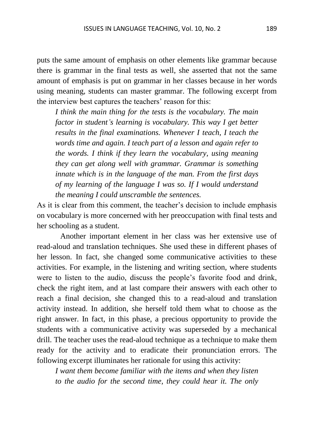puts the same amount of emphasis on other elements like grammar because there is grammar in the final tests as well, she asserted that not the same amount of emphasis is put on grammar in her classes because in her words using meaning, students can master grammar. The following excerpt from the interview best captures the teachers' reason for this:

*I think the main thing for the tests is the vocabulary. The main factor in student's learning is vocabulary. This way I get better results in the final examinations. Whenever I teach, I teach the words time and again. I teach part of a lesson and again refer to the words. I think if they learn the vocabulary, using meaning they can get along well with grammar. Grammar is something innate which is in the language of the man. From the first days of my learning of the language I was so. If I would understand the meaning I could unscramble the sentences.*

As it is clear from this comment, the teacher's decision to include emphasis on vocabulary is more concerned with her preoccupation with final tests and her schooling as a student.

Another important element in her class was her extensive use of read-aloud and translation techniques. She used these in different phases of her lesson. In fact, she changed some communicative activities to these activities. For example, in the listening and writing section, where students were to listen to the audio, discuss the people's favorite food and drink, check the right item, and at last compare their answers with each other to reach a final decision, she changed this to a read-aloud and translation activity instead. In addition, she herself told them what to choose as the right answer. In fact, in this phase, a precious opportunity to provide the students with a communicative activity was superseded by a mechanical drill. The teacher uses the read-aloud technique as a technique to make them ready for the activity and to eradicate their pronunciation errors. The following excerpt illuminates her rationale for using this activity:

*I want them become familiar with the items and when they listen to the audio for the second time, they could hear it. The only*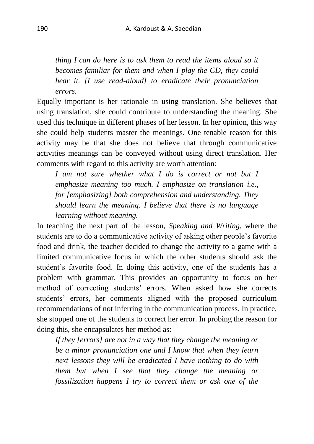*thing I can do here is to ask them to read the items aloud so it becomes familiar for them and when I play the CD, they could hear it. [I use read-aloud] to eradicate their pronunciation errors.*

Equally important is her rationale in using translation. She believes that using translation, she could contribute to understanding the meaning. She used this technique in different phases of her lesson. In her opinion, this way she could help students master the meanings. One tenable reason for this activity may be that she does not believe that through communicative activities meanings can be conveyed without using direct translation. Her comments with regard to this activity are worth attention:

*I am not sure whether what I do is correct or not but I emphasize meaning too much. I emphasize on translation i.e., for [emphasizing] both comprehension and understanding. They should learn the meaning. I believe that there is no language learning without meaning.*

In teaching the next part of the lesson, *Speaking and Writing*, where the students are to do a communicative activity of asking other people's favorite food and drink, the teacher decided to change the activity to a game with a limited communicative focus in which the other students should ask the student's favorite food. In doing this activity, one of the students has a problem with grammar. This provides an opportunity to focus on her method of correcting students' errors. When asked how she corrects students' errors, her comments aligned with the proposed curriculum recommendations of not inferring in the communication process. In practice, she stopped one of the students to correct her error. In probing the reason for doing this, she encapsulates her method as:

*If they [errors] are not in a way that they change the meaning or be a minor pronunciation one and I know that when they learn next lessons they will be eradicated I have nothing to do with them but when I see that they change the meaning or fossilization happens I try to correct them or ask one of the*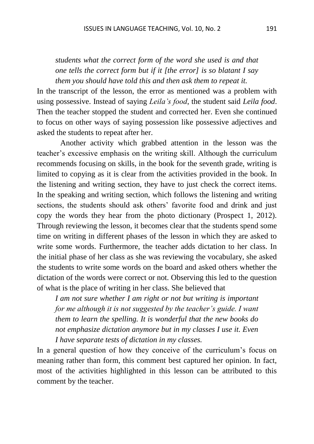## *students what the correct form of the word she used is and that one tells the correct form but if it [the error] is so blatant I say them you should have told this and then ask them to repeat it.*

In the transcript of the lesson, the error as mentioned was a problem with using possessive. Instead of saying *Leila's food*, the student said *Leila food*. Then the teacher stopped the student and corrected her. Even she continued to focus on other ways of saying possession like possessive adjectives and asked the students to repeat after her.

Another activity which grabbed attention in the lesson was the teacher's excessive emphasis on the writing skill. Although the curriculum recommends focusing on skills, in the book for the seventh grade, writing is limited to copying as it is clear from the activities provided in the book. In the listening and writing section, they have to just check the correct items. In the speaking and writing section, which follows the listening and writing sections, the students should ask others' favorite food and drink and just copy the words they hear from the photo dictionary (Prospect 1, 2012). Through reviewing the lesson, it becomes clear that the students spend some time on writing in different phases of the lesson in which they are asked to write some words. Furthermore, the teacher adds dictation to her class. In the initial phase of her class as she was reviewing the vocabulary, she asked the students to write some words on the board and asked others whether the dictation of the words were correct or not. Observing this led to the question of what is the place of writing in her class. She believed that

*I am not sure whether I am right or not but writing is important for me although it is not suggested by the teacher's guide. I want them to learn the spelling. It is wonderful that the new books do not emphasize dictation anymore but in my classes I use it. Even I have separate tests of dictation in my classes.*

In a general question of how they conceive of the curriculum's focus on meaning rather than form, this comment best captured her opinion. In fact, most of the activities highlighted in this lesson can be attributed to this comment by the teacher.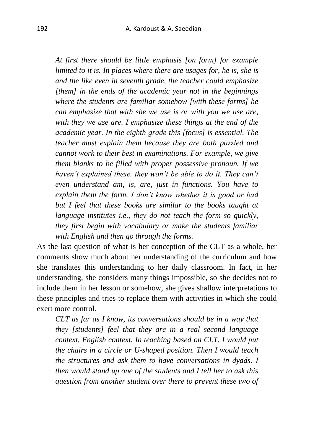*At first there should be little emphasis [on form] for example limited to it is. In places where there are usages for, he is, she is and the like even in seventh grade, the teacher could emphasize [them] in the ends of the academic year not in the beginnings where the students are familiar somehow [with these forms] he can emphasize that with she we use is or with you we use are, with they we use are. I emphasize these things at the end of the academic year. In the eighth grade this [focus] is essential. The teacher must explain them because they are both puzzled and cannot work to their best in examinations. For example, we give them blanks to be filled with proper possessive pronoun. If we haven't explained these, they won't be able to do it. They can't even understand am, is, are, just in functions. You have to explain them the form. I don't know whether it is good or bad but I feel that these books are similar to the books taught at language institutes i.e., they do not teach the form so quickly, they first begin with vocabulary or make the students familiar with English and then go through the forms.*

As the last question of what is her conception of the CLT as a whole, her comments show much about her understanding of the curriculum and how she translates this understanding to her daily classroom. In fact, in her understanding, she considers many things impossible, so she decides not to include them in her lesson or somehow, she gives shallow interpretations to these principles and tries to replace them with activities in which she could exert more control.

*CLT as far as I know, its conversations should be in a way that they [students] feel that they are in a real second language context, English context. In teaching based on CLT, I would put the chairs in a circle or U-shaped position. Then I would teach the structures and ask them to have conversations in dyads. I then would stand up one of the students and I tell her to ask this question from another student over there to prevent these two of*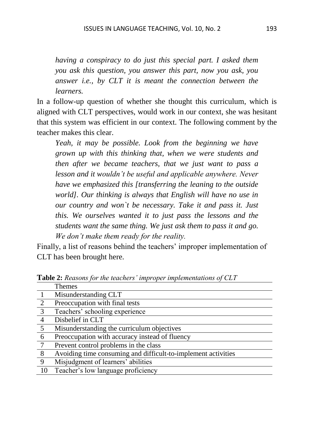*having a conspiracy to do just this special part. I asked them you ask this question, you answer this part, now you ask, you answer i.e., by CLT it is meant the connection between the learners.* 

In a follow-up question of whether she thought this curriculum, which is aligned with CLT perspectives, would work in our context, she was hesitant that this system was efficient in our context. The following comment by the teacher makes this clear.

*Yeah, it may be possible. Look from the beginning we have grown up with this thinking that, when we were students and then after we became teachers, that we just want to pass a lesson and it wouldn't be useful and applicable anywhere. Never have we emphasized this [transferring the leaning to the outside world]. Our thinking is always that English will have no use in our country and won`t be necessary. Take it and pass it. Just this. We ourselves wanted it to just pass the lessons and the students want the same thing. We just ask them to pass it and go. We don't make them ready for the reality.*

Finally, a list of reasons behind the teachers' improper implementation of CLT has been brought here.

|                 | $\blacksquare$ which is now that is a calculated in the proper impromotion of $\blacksquare$ . |  |  |
|-----------------|------------------------------------------------------------------------------------------------|--|--|
|                 | Themes                                                                                         |  |  |
|                 | Misunderstanding CLT                                                                           |  |  |
| 2               | Preoccupation with final tests                                                                 |  |  |
| $\overline{3}$  | Teachers' schooling experience                                                                 |  |  |
| $\overline{4}$  | Disbelief in CLT                                                                               |  |  |
| $5\overline{5}$ | Misunderstanding the curriculum objectives                                                     |  |  |
| 6               | Preoccupation with accuracy instead of fluency                                                 |  |  |
| - 7             | Prevent control problems in the class                                                          |  |  |
| 8               | Avoiding time consuming and difficult-to-implement activities                                  |  |  |
| 9               | Misjudgment of learners' abilities                                                             |  |  |
| 10              | Teacher's low language proficiency                                                             |  |  |
|                 |                                                                                                |  |  |

**Table 2:** *Reasons for the teachers' improper implementations of CLT*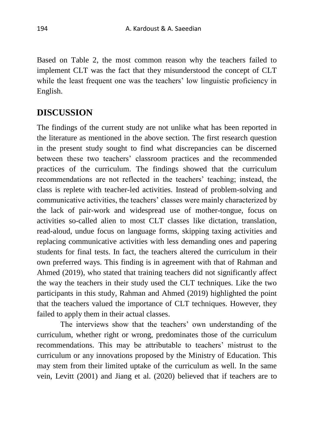Based on Table 2, the most common reason why the teachers failed to implement CLT was the fact that they misunderstood the concept of CLT while the least frequent one was the teachers' low linguistic proficiency in English.

## **DISCUSSION**

The findings of the current study are not unlike what has been reported in the literature as mentioned in the above section. The first research question in the present study sought to find what discrepancies can be discerned between these two teachers' classroom practices and the recommended practices of the curriculum. The findings showed that the curriculum recommendations are not reflected in the teachers' teaching; instead, the class is replete with teacher-led activities. Instead of problem-solving and communicative activities, the teachers' classes were mainly characterized by the lack of pair-work and widespread use of mother-tongue, focus on activities so-called alien to most CLT classes like dictation, translation, read-aloud, undue focus on language forms, skipping taxing activities and replacing communicative activities with less demanding ones and papering students for final tests. In fact, the teachers altered the curriculum in their own preferred ways. This finding is in agreement with that of Rahman and Ahmed (2019), who stated that training teachers did not significantly affect the way the teachers in their study used the CLT techniques. Like the two participants in this study, Rahman and Ahmed (2019) highlighted the point that the teachers valued the importance of CLT techniques. However, they failed to apply them in their actual classes.

The interviews show that the teachers' own understanding of the curriculum, whether right or wrong, predominates those of the curriculum recommendations. This may be attributable to teachers' mistrust to the curriculum or any innovations proposed by the Ministry of Education. This may stem from their limited uptake of the curriculum as well. In the same vein, Levitt (2001) and Jiang et al. (2020) believed that if teachers are to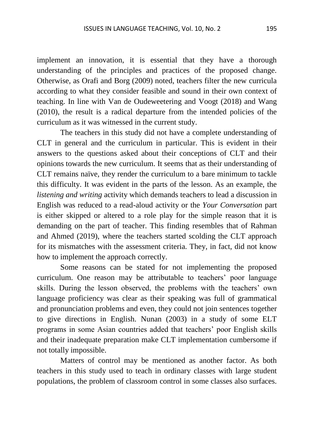implement an innovation, it is essential that they have a thorough understanding of the principles and practices of the proposed change. Otherwise, as Orafi and Borg (2009) noted, teachers filter the new curricula according to what they consider feasible and sound in their own context of teaching. In line with Van de Oudeweetering and Voogt (2018) and Wang (2010), the result is a radical departure from the intended policies of the curriculum as it was witnessed in the current study.

The teachers in this study did not have a complete understanding of CLT in general and the curriculum in particular. This is evident in their answers to the questions asked about their conceptions of CLT and their opinions towards the new curriculum. It seems that as their understanding of CLT remains naïve, they render the curriculum to a bare minimum to tackle this difficulty. It was evident in the parts of the lesson. As an example, the *listening and writing* activity which demands teachers to lead a discussion in English was reduced to a read-aloud activity or the *Your Conversation* part is either skipped or altered to a role play for the simple reason that it is demanding on the part of teacher. This finding resembles that of Rahman and Ahmed (2019), where the teachers started scolding the CLT approach for its mismatches with the assessment criteria. They, in fact, did not know how to implement the approach correctly.

Some reasons can be stated for not implementing the proposed curriculum. One reason may be attributable to teachers' poor language skills. During the lesson observed, the problems with the teachers' own language proficiency was clear as their speaking was full of grammatical and pronunciation problems and even, they could not join sentences together to give directions in English. Nunan (2003) in a study of some ELT programs in some Asian countries added that teachers' poor English skills and their inadequate preparation make CLT implementation cumbersome if not totally impossible.

Matters of control may be mentioned as another factor. As both teachers in this study used to teach in ordinary classes with large student populations, the problem of classroom control in some classes also surfaces.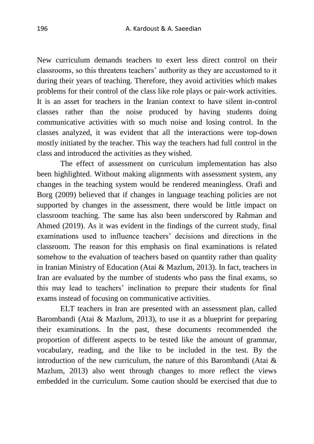New curriculum demands teachers to exert less direct control on their classrooms, so this threatens teachers' authority as they are accustomed to it during their years of teaching. Therefore, they avoid activities which makes problems for their control of the class like role plays or pair-work activities. It is an asset for teachers in the Iranian context to have silent in-control classes rather than the noise produced by having students doing communicative activities with so much noise and losing control. In the classes analyzed, it was evident that all the interactions were top-down mostly initiated by the teacher. This way the teachers had full control in the class and introduced the activities as they wished.

The effect of assessment on curriculum implementation has also been highlighted. Without making alignments with assessment system, any changes in the teaching system would be rendered meaningless. Orafi and Borg (2009) believed that if changes in language teaching policies are not supported by changes in the assessment, there would be little impact on classroom teaching. The same has also been underscored by Rahman and Ahmed (2019). As it was evident in the findings of the current study, final examinations used to influence teachers' decisions and directions in the classroom. The reason for this emphasis on final examinations is related somehow to the evaluation of teachers based on quantity rather than quality in Iranian Ministry of Education (Atai & Mazlum, 2013). In fact, teachers in Iran are evaluated by the number of students who pass the final exams, so this may lead to teachers' inclination to prepare their students for final exams instead of focusing on communicative activities.

ELT teachers in Iran are presented with an assessment plan, called Barombandi (Atai & Mazlum, 2013), to use it as a blueprint for preparing their examinations. In the past, these documents recommended the proportion of different aspects to be tested like the amount of grammar, vocabulary, reading, and the like to be included in the test. By the introduction of the new curriculum, the nature of this Barombandi (Atai & Mazlum, 2013) also went through changes to more reflect the views embedded in the curriculum. Some caution should be exercised that due to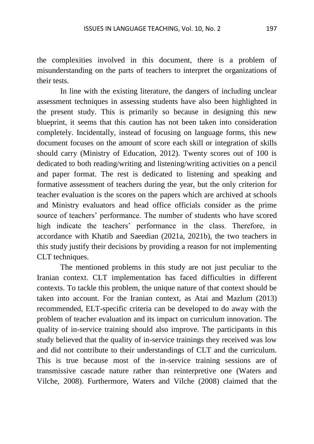the complexities involved in this document, there is a problem of misunderstanding on the parts of teachers to interpret the organizations of their tests.

In line with the existing literature, the dangers of including unclear assessment techniques in assessing students have also been highlighted in the present study. This is primarily so because in designing this new blueprint, it seems that this caution has not been taken into consideration completely. Incidentally, instead of focusing on language forms, this new document focuses on the amount of score each skill or integration of skills should carry (Ministry of Education, 2012). Twenty scores out of 100 is dedicated to both reading/writing and listening/writing activities on a pencil and paper format. The rest is dedicated to listening and speaking and formative assessment of teachers during the year, but the only criterion for teacher evaluation is the scores on the papers which are archived at schools and Ministry evaluators and head office officials consider as the prime source of teachers' performance. The number of students who have scored high indicate the teachers' performance in the class. Therefore, in accordance with Khatib and Saeedian (2021a, 2021b), the two teachers in this study justify their decisions by providing a reason for not implementing CLT techniques.

The mentioned problems in this study are not just peculiar to the Iranian context. CLT implementation has faced difficulties in different contexts. To tackle this problem, the unique nature of that context should be taken into account. For the Iranian context, as Atai and Mazlum (2013) recommended, ELT-specific criteria can be developed to do away with the problem of teacher evaluation and its impact on curriculum innovation. The quality of in-service training should also improve. The participants in this study believed that the quality of in-service trainings they received was low and did not contribute to their understandings of CLT and the curriculum. This is true because most of the in-service training sessions are of transmissive cascade nature rather than reinterpretive one (Waters and Vilche, 2008). Furthermore, Waters and Vilche (2008) claimed that the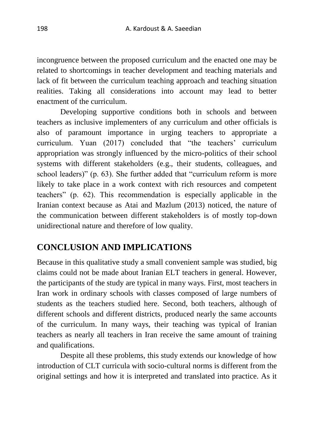incongruence between the proposed curriculum and the enacted one may be related to shortcomings in teacher development and teaching materials and lack of fit between the curriculum teaching approach and teaching situation realities. Taking all considerations into account may lead to better enactment of the curriculum.

Developing supportive conditions both in schools and between teachers as inclusive implementers of any curriculum and other officials is also of paramount importance in urging teachers to appropriate a curriculum. Yuan (2017) concluded that "the teachers' curriculum appropriation was strongly influenced by the micro-politics of their school systems with different stakeholders (e.g., their students, colleagues, and school leaders)" (p. 63). She further added that "curriculum reform is more likely to take place in a work context with rich resources and competent teachers" (p. 62). This recommendation is especially applicable in the Iranian context because as Atai and Mazlum (2013) noticed, the nature of the communication between different stakeholders is of mostly top-down unidirectional nature and therefore of low quality.

## **CONCLUSION AND IMPLICATIONS**

Because in this qualitative study a small convenient sample was studied, big claims could not be made about Iranian ELT teachers in general. However, the participants of the study are typical in many ways. First, most teachers in Iran work in ordinary schools with classes composed of large numbers of students as the teachers studied here. Second, both teachers, although of different schools and different districts, produced nearly the same accounts of the curriculum. In many ways, their teaching was typical of Iranian teachers as nearly all teachers in Iran receive the same amount of training and qualifications.

Despite all these problems, this study extends our knowledge of how introduction of CLT curricula with socio-cultural norms is different from the original settings and how it is interpreted and translated into practice. As it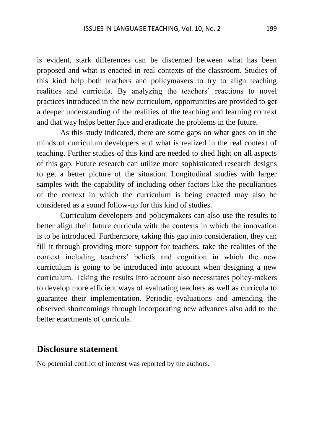is evident, stark differences can be discerned between what has been proposed and what is enacted in real contexts of the classroom. Studies of this kind help both teachers and policymakers to try to align teaching realities and curricula. By analyzing the teachers' reactions to novel practices introduced in the new curriculum, opportunities are provided to get a deeper understanding of the realities of the teaching and learning context and that way helps better face and eradicate the problems in the future.

As this study indicated, there are some gaps on what goes on in the minds of curriculum developers and what is realized in the real context of teaching. Further studies of this kind are needed to shed light on all aspects of this gap. Future research can utilize more sophisticated research designs to get a better picture of the situation. Longitudinal studies with larger samples with the capability of including other factors like the peculiarities of the context in which the curriculum is being enacted may also be considered as a sound follow-up for this kind of studies.

Curriculum developers and policymakers can also use the results to better align their future curricula with the contexts in which the innovation is to be introduced. Furthermore, taking this gap into consideration, they can fill it through providing more support for teachers, take the realities of the context including teachers' beliefs and cognition in which the new curriculum is going to be introduced into account when designing a new curriculum. Taking the results into account also necessitates policy-makers to develop more efficient ways of evaluating teachers as well as curricula to guarantee their implementation. Periodic evaluations and amending the observed shortcomings through incorporating new advances also add to the better enactments of curricula.

#### **Disclosure statement**

No potential conflict of interest was reported by the authors.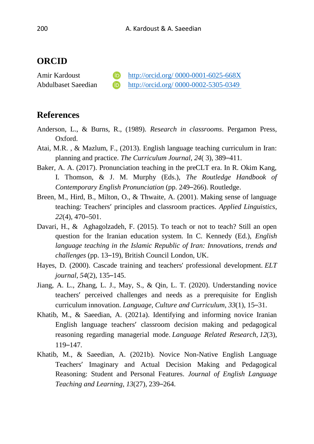### **ORCID**

Amir Kardoust **in the act of the [http://orcid.org/ 0000-0001-6025-668X](http://orcid.org/%200000-0001-6025-668X)** Abdulbaset Saeedian **[http://orcid.org/ 0000-0002-5305-0349](http://orcid.org/%200000-0002-5305-0349)** 

#### **References**

- Anderson, L., & Burns, R., (1989). *Research in classrooms*. Pergamon Press, Oxford.
- Atai, M.R. , & Mazlum, F., (2013). English language teaching curriculum in Iran: planning and practice. *The Curriculum Journal, 24*( 3), 389–411.
- Baker, A. A. (2017). Pronunciation teaching in the preCLT era. In R. Okim Kang, I. Thomson, & J. M. Murphy (Eds.), *The Routledge Handbook of Contemporary English Pronunciation* (pp. 249–266). Routledge.
- Breen, M., Hird, B., Milton, O., & Thwaite, A. (2001). Making sense of language teaching: Teachers' principles and classroom practices. *Applied Linguistics*, *22*(4), 470–501.
- Davari, H., & Aghagolzadeh, F. (2015). To teach or not to teach? Still an open question for the Iranian education system. In C. Kennedy (Ed.), *English language teaching in the Islamic Republic of Iran: Innovations, trends and challenges* (pp. 13–19), British Council London, UK.
- Hayes, D. (2000). Cascade training and teachers' professional development. *ELT journal*, *54*(2), 135–145.
- Jiang, A. L., Zhang, L. J., May, S., & Qin, L. T. (2020). Understanding novice teachers' perceived challenges and needs as a prerequisite for English curriculum innovation. *Language, Culture and Curriculum*, *33*(1), 15–31.
- Khatib, M., & Saeedian, A. (2021a). Identifying and informing novice Iranian English language teachers' classroom decision making and pedagogical reasoning regarding managerial mode. *Language Related Research*, *12*(3), 119–147.
- Khatib, M., & Saeedian, A. (2021b). Novice Non-Native English Language Teachers' Imaginary and Actual Decision Making and Pedagogical Reasoning: Student and Personal Features. *Journal of English Language Teaching and Learning*, *13*(27), 239–264.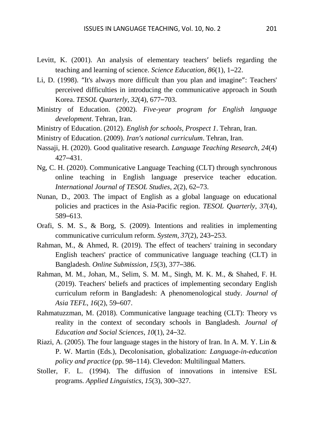- Levitt, K. (2001). An analysis of elementary teachers' beliefs regarding the teaching and learning of science. *Science Education*, *86*(1), 1–22.
- Li, D. (1998). "It's always more difficult than you plan and imagine": Teachers' perceived difficulties in introducing the communicative approach in South Korea. *TESOL Quarterly*, *32*(4), 677–703.
- Ministry of Education. (2002). *Five-year program for English language development*. Tehran, Iran.
- Ministry of Education. (2012). *English for schools, Prospect 1*. Tehran, Iran.
- Ministry of Education. (2009). *Iran's national curriculum*. Tehran, Iran.
- Nassaji, H. (2020). Good qualitative research. *Language Teaching Research*, *24*(4) 427–431.
- Ng, C. H. (2020). Communicative Language Teaching (CLT) through synchronous online teaching in English language preservice teacher education. *International Journal of TESOL Studies*, *2*(2), 62–73.
- Nunan, D., 2003. The impact of English as a global language on educational policies and practices in the Asia-Pacific region. *TESOL Quarterly*, *37*(4), 589–613.
- Orafi, S. M. S., & Borg, S. (2009). Intentions and realities in implementing communicative curriculum reform. *System*, *37*(2), 243–253.
- Rahman, M., & Ahmed, R. (2019). The effect of teachers' training in secondary English teachers' practice of communicative language teaching (CLT) in Bangladesh. *Online Submission*, *15*(3), 377–386.
- Rahman, M. M., Johan, M., Selim, S. M. M., Singh, M. K. M., & Shahed, F. H. (2019). Teachers' beliefs and practices of implementing secondary English curriculum reform in Bangladesh: A phenomenological study. *Journal of Asia TEFL*, *16*(2), 59–607.
- Rahmatuzzman, M. (2018). Communicative language teaching (CLT): Theory vs reality in the context of secondary schools in Bangladesh. *Journal of Education and Social Sciences*, *10*(1), 24–32.
- Riazi, A. (2005). The four language stages in the history of Iran. In A. M. Y. Lin  $\&$ P. W. Martin (Eds.), Decolonisation, globalization: *Language-in-education policy and practice* (pp. 98–114). Clevedon: Multilingual Matters.
- Stoller, F. L. (1994). The diffusion of innovations in intensive ESL programs. *Applied Linguistics*, *15*(3), 300–327.